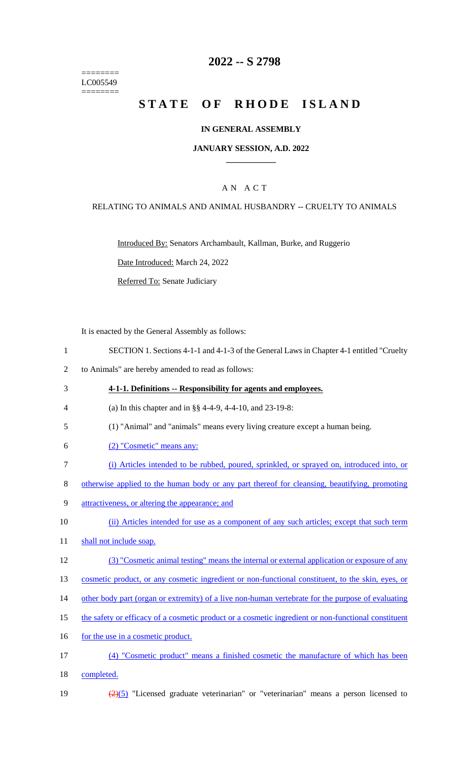======== LC005549 ========

### **2022 -- S 2798**

# **STATE OF RHODE ISLAND**

#### **IN GENERAL ASSEMBLY**

#### **JANUARY SESSION, A.D. 2022 \_\_\_\_\_\_\_\_\_\_\_\_**

### A N A C T

#### RELATING TO ANIMALS AND ANIMAL HUSBANDRY -- CRUELTY TO ANIMALS

Introduced By: Senators Archambault, Kallman, Burke, and Ruggerio

Date Introduced: March 24, 2022

Referred To: Senate Judiciary

It is enacted by the General Assembly as follows:

- 1 SECTION 1. Sections 4-1-1 and 4-1-3 of the General Laws in Chapter 4-1 entitled "Cruelty
- 2 to Animals" are hereby amended to read as follows:
- 3 **4-1-1. Definitions -- Responsibility for agents and employees.** 4 (a) In this chapter and in §§ 4-4-9, 4-4-10, and 23-19-8: 5 (1) "Animal" and "animals" means every living creature except a human being. 6 (2) "Cosmetic" means any: 7 (i) Articles intended to be rubbed, poured, sprinkled, or sprayed on, introduced into, or 8 otherwise applied to the human body or any part thereof for cleansing, beautifying, promoting 9 attractiveness, or altering the appearance; and 10 (ii) Articles intended for use as a component of any such articles; except that such term 11 shall not include soap. 12 (3) "Cosmetic animal testing" means the internal or external application or exposure of any 13 cosmetic product, or any cosmetic ingredient or non-functional constituent, to the skin, eyes, or 14 other body part (organ or extremity) of a live non-human vertebrate for the purpose of evaluating 15 the safety or efficacy of a cosmetic product or a cosmetic ingredient or non-functional constituent 16 for the use in a cosmetic product. 17 (4) "Cosmetic product" means a finished cosmetic the manufacture of which has been 18 completed.
- 19  $\frac{(2)(5)}{2}$  "Licensed graduate veterinarian" or "veterinarian" means a person licensed to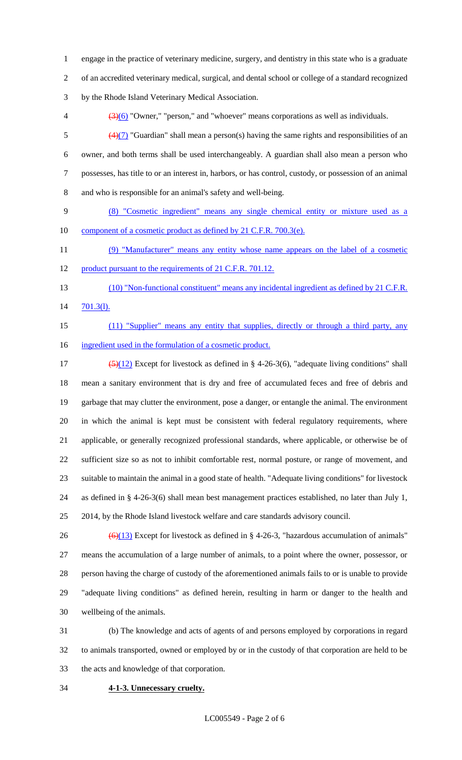engage in the practice of veterinary medicine, surgery, and dentistry in this state who is a graduate

of an accredited veterinary medical, surgical, and dental school or college of a standard recognized

by the Rhode Island Veterinary Medical Association.

 $\left(3\right)$  (3)(6) "Owner," "person," and "whoever" means corporations as well as individuals.

 $(4)(7)$  "Guardian" shall mean a person(s) having the same rights and responsibilities of an owner, and both terms shall be used interchangeably. A guardian shall also mean a person who possesses, has title to or an interest in, harbors, or has control, custody, or possession of an animal and who is responsible for an animal's safety and well-being.

 (8) "Cosmetic ingredient" means any single chemical entity or mixture used as a 10 component of a cosmetic product as defined by 21 C.F.R. 700.3(e).

 (9) "Manufacturer" means any entity whose name appears on the label of a cosmetic 12 product pursuant to the requirements of 21 C.F.R. 701.12.

13 (10) "Non-functional constituent" means any incidental ingredient as defined by 21 C.F.R. 701.3(l).

15 (11) "Supplier" means any entity that supplies, directly or through a third party, any ingredient used in the formulation of a cosmetic product.

 $\left(\frac{5}{12}\right)$  Except for livestock as defined in § 4-26-3(6), "adequate living conditions" shall mean a sanitary environment that is dry and free of accumulated feces and free of debris and garbage that may clutter the environment, pose a danger, or entangle the animal. The environment in which the animal is kept must be consistent with federal regulatory requirements, where applicable, or generally recognized professional standards, where applicable, or otherwise be of sufficient size so as not to inhibit comfortable rest, normal posture, or range of movement, and suitable to maintain the animal in a good state of health. "Adequate living conditions" for livestock as defined in § 4-26-3(6) shall mean best management practices established, no later than July 1, 2014, by the Rhode Island livestock welfare and care standards advisory council.

 $\left(\frac{6}{13}\right)$  Except for livestock as defined in § 4-26-3, "hazardous accumulation of animals" means the accumulation of a large number of animals, to a point where the owner, possessor, or person having the charge of custody of the aforementioned animals fails to or is unable to provide "adequate living conditions" as defined herein, resulting in harm or danger to the health and wellbeing of the animals.

 (b) The knowledge and acts of agents of and persons employed by corporations in regard to animals transported, owned or employed by or in the custody of that corporation are held to be the acts and knowledge of that corporation.

**4-1-3. Unnecessary cruelty.**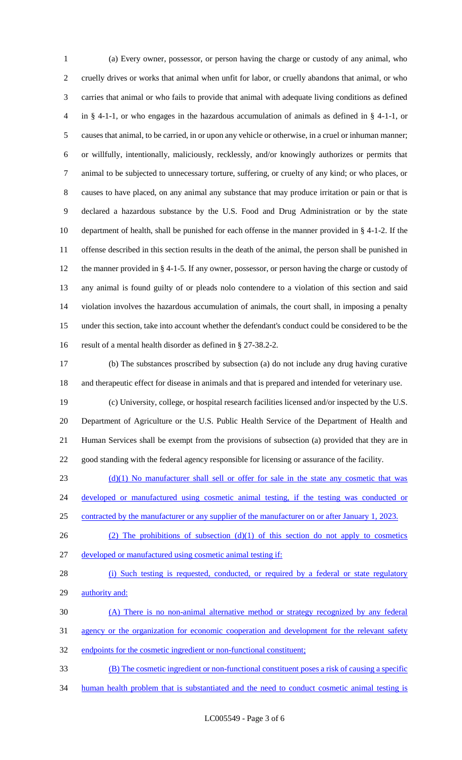(a) Every owner, possessor, or person having the charge or custody of any animal, who cruelly drives or works that animal when unfit for labor, or cruelly abandons that animal, or who carries that animal or who fails to provide that animal with adequate living conditions as defined in § 4-1-1, or who engages in the hazardous accumulation of animals as defined in § 4-1-1, or causes that animal, to be carried, in or upon any vehicle or otherwise, in a cruel or inhuman manner; or willfully, intentionally, maliciously, recklessly, and/or knowingly authorizes or permits that animal to be subjected to unnecessary torture, suffering, or cruelty of any kind; or who places, or causes to have placed, on any animal any substance that may produce irritation or pain or that is declared a hazardous substance by the U.S. Food and Drug Administration or by the state department of health, shall be punished for each offense in the manner provided in § 4-1-2. If the offense described in this section results in the death of the animal, the person shall be punished in the manner provided in § 4-1-5. If any owner, possessor, or person having the charge or custody of any animal is found guilty of or pleads nolo contendere to a violation of this section and said violation involves the hazardous accumulation of animals, the court shall, in imposing a penalty under this section, take into account whether the defendant's conduct could be considered to be the result of a mental health disorder as defined in § 27-38.2-2.

 (b) The substances proscribed by subsection (a) do not include any drug having curative and therapeutic effect for disease in animals and that is prepared and intended for veterinary use.

 (c) University, college, or hospital research facilities licensed and/or inspected by the U.S. Department of Agriculture or the U.S. Public Health Service of the Department of Health and Human Services shall be exempt from the provisions of subsection (a) provided that they are in good standing with the federal agency responsible for licensing or assurance of the facility.

 $(23$  (d)(1) No manufacturer shall sell or offer for sale in the state any cosmetic that was

24 developed or manufactured using cosmetic animal testing, if the testing was conducted or

contracted by the manufacturer or any supplier of the manufacturer on or after January 1, 2023.

- 26 (2) The prohibitions of subsection  $(d)(1)$  of this section do not apply to cosmetics
- developed or manufactured using cosmetic animal testing if:

```
28 (i) Such testing is requested, conducted, or required by a federal or state regulatory
29 authority and:
```
(A) There is no non-animal alternative method or strategy recognized by any federal

agency or the organization for economic cooperation and development for the relevant safety

endpoints for the cosmetic ingredient or non-functional constituent;

(B) The cosmetic ingredient or non-functional constituent poses a risk of causing a specific

human health problem that is substantiated and the need to conduct cosmetic animal testing is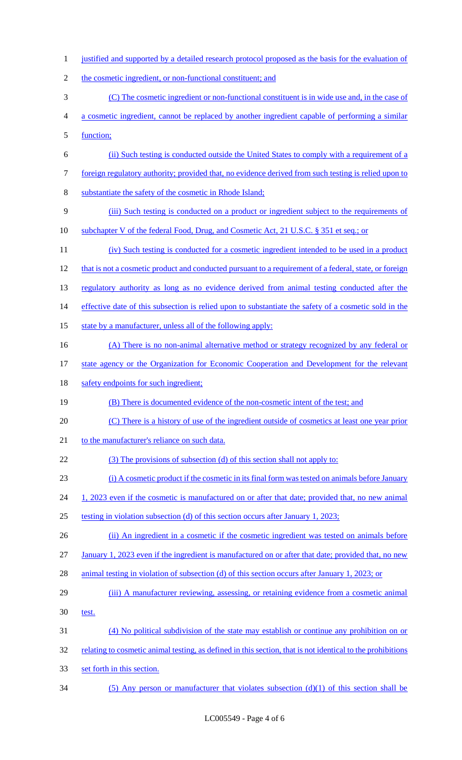1 justified and supported by a detailed research protocol proposed as the basis for the evaluation of 2 the cosmetic ingredient, or non-functional constituent; and (C) The cosmetic ingredient or non-functional constituent is in wide use and, in the case of a cosmetic ingredient, cannot be replaced by another ingredient capable of performing a similar function; (ii) Such testing is conducted outside the United States to comply with a requirement of a foreign regulatory authority; provided that, no evidence derived from such testing is relied upon to substantiate the safety of the cosmetic in Rhode Island; (iii) Such testing is conducted on a product or ingredient subject to the requirements of subchapter V of the federal Food, Drug, and Cosmetic Act, 21 U.S.C. § 351 et seq.; or 11 (iv) Such testing is conducted for a cosmetic ingredient intended to be used in a product 12 that is not a cosmetic product and conducted pursuant to a requirement of a federal, state, or foreign regulatory authority as long as no evidence derived from animal testing conducted after the effective date of this subsection is relied upon to substantiate the safety of a cosmetic sold in the 15 state by a manufacturer, unless all of the following apply: 16 (A) There is no non-animal alternative method or strategy recognized by any federal or 17 state agency or the Organization for Economic Cooperation and Development for the relevant 18 safety endpoints for such ingredient; 19 (B) There is documented evidence of the non-cosmetic intent of the test; and (C) There is a history of use of the ingredient outside of cosmetics at least one year prior 21 to the manufacturer's reliance on such data. (3) The provisions of subsection (d) of this section shall not apply to: (i) A cosmetic product if the cosmetic in its final form was tested on animals before January 24 1, 2023 even if the cosmetic is manufactured on or after that date; provided that, no new animal testing in violation subsection (d) of this section occurs after January 1, 2023; 26 (ii) An ingredient in a cosmetic if the cosmetic ingredient was tested on animals before January 1, 2023 even if the ingredient is manufactured on or after that date; provided that, no new animal testing in violation of subsection (d) of this section occurs after January 1, 2023; or (iii) A manufacturer reviewing, assessing, or retaining evidence from a cosmetic animal test. (4) No political subdivision of the state may establish or continue any prohibition on or relating to cosmetic animal testing, as defined in this section, that is not identical to the prohibitions set forth in this section. (5) Any person or manufacturer that violates subsection (d)(1) of this section shall be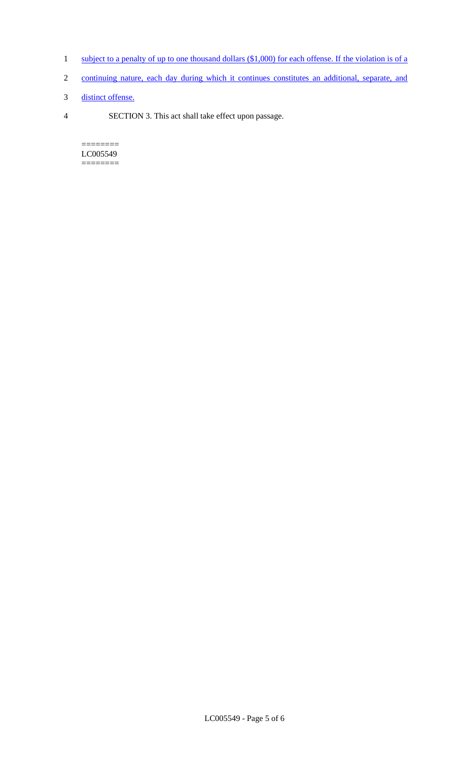- 1 subject to a penalty of up to one thousand dollars (\$1,000) for each offense. If the violation is of a
- 2 continuing nature, each day during which it continues constitutes an additional, separate, and
- 3 distinct offense.
- 4 SECTION 3. This act shall take effect upon passage.

======== LC005549  $=$